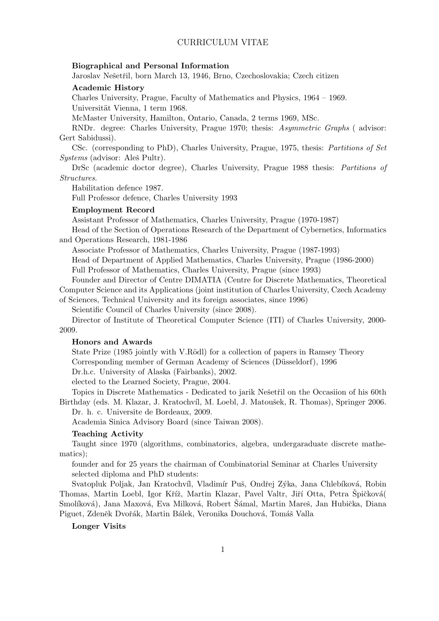# CURRICULUM VITAE

#### Biographical and Personal Information

Jaroslav Nešetřil, born March 13, 1946, Brno, Czechoslovakia; Czech citizen

### Academic History

Charles University, Prague, Faculty of Mathematics and Physics, 1964 – 1969. Universität Vienna, 1 term 1968.

McMaster University, Hamilton, Ontario, Canada, 2 terms 1969, MSc.

RNDr. degree: Charles University, Prague 1970; thesis: Asymmetric Graphs ( advisor: Gert Sabidussi).

CSc. (corresponding to PhD), Charles University, Prague, 1975, thesis: Partitions of Set Systems (advisor: Aleš Pultr).

DrSc (academic doctor degree), Charles University, Prague 1988 thesis: Partitions of Structures.

Habilitation defence 1987.

Full Professor defence, Charles University 1993

# Employment Record

Assistant Professor of Mathematics, Charles University, Prague (1970-1987)

Head of the Section of Operations Research of the Department of Cybernetics, Informatics and Operations Research, 1981-1986

Associate Professor of Mathematics, Charles University, Prague (1987-1993)

Head of Department of Applied Mathematics, Charles University, Prague (1986-2000) Full Professor of Mathematics, Charles University, Prague (since 1993)

Founder and Director of Centre DIMATIA (Centre for Discrete Mathematics, Theoretical Computer Science and its Applications (joint institution of Charles University, Czech Academy

of Sciences, Technical University and its foreign associates, since 1996)

Scientific Council of Charles University (since 2008).

Director of Institute of Theoretical Computer Science (ITI) of Charles University, 2000- 2009.

# Honors and Awards

State Prize (1985 jointly with V.Rödl) for a collection of papers in Ramsey Theory Corresponding member of German Academy of Sciences (Düsseldorf), 1996

Dr.h.c. University of Alaska (Fairbanks), 2002.

elected to the Learned Society, Prague, 2004.

Topics in Discrete Mathematics - Dedicated to jarik Nešetřil on the Occasiion of his 60th Birthday (eds. M. Klazar, J. Kratochvíl, M. Loebl, J. Matoušek, R. Thomas), Springer 2006.

Dr. h. c. Universite de Bordeaux, 2009.

Academia Sinica Advisory Board (since Taiwan 2008).

#### Teaching Activity

Taught since 1970 (algorithms, combinatorics, algebra, undergaraduate discrete mathematics);

founder and for 25 years the chairman of Combinatorial Seminar at Charles University selected diploma and PhD students:

Svatopluk Poljak, Jan Kratochvíl, Vladimír Puš, Ondřej Zýka, Jana Chlebíková, Robin Thomas, Martin Loebl, Igor Kříž, Martin Klazar, Pavel Valtr, Jiří Otta, Petra Špičková Smolíková), Jana Maxová, Eva Milková, Robert Šámal, Martin Mareš, Jan Hubička, Diana Piguet, Zdeněk Dvořák, Martin Bálek, Veronika Douchová, Tomáš Valla

# Longer Visits